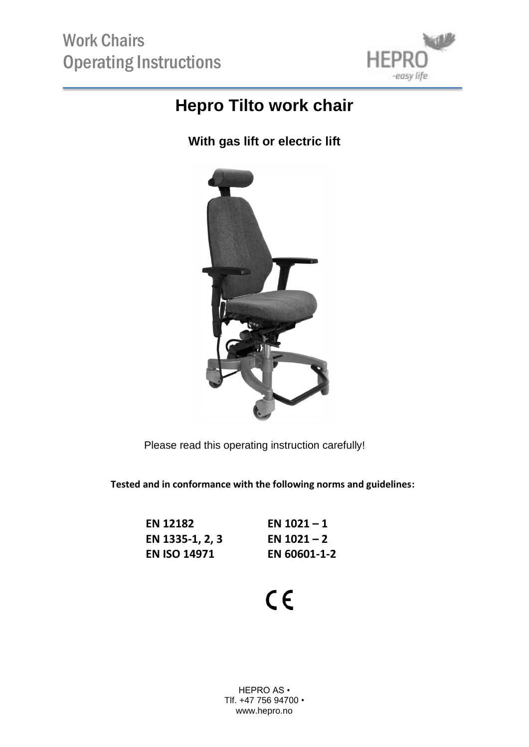

### **Hepro Tilto work chair**

**With gas lift or electric lift**



Please read this operating instruction carefully!

**Tested and in conformance with the following norms and guidelines:**

| <b>EN 12182</b>     | EN $1021 - 1$ |
|---------------------|---------------|
| EN 1335-1, 2, 3     | EN $1021 - 2$ |
| <b>EN ISO 14971</b> | EN 60601-1-2  |

# $C \in$

HEPRO AS • Tlf. +47 756 94700 • www.hepro.no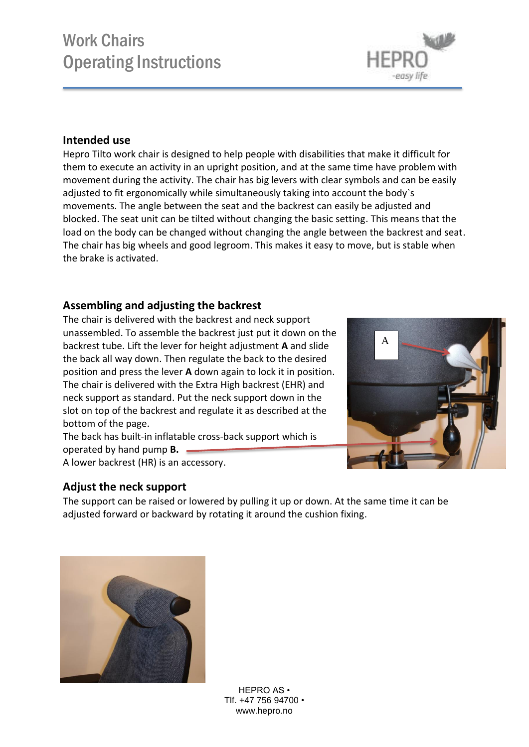#### adjusted to fit ergonomically while simultaneously taking into account the body`s movements. The angle between the seat and the backrest can easily be adjusted and blocked. The seat unit can be tilted without changing the basic setting. This means that the load on the body can be changed without changing the angle between the backrest and seat.

The chair has big wheels and good legroom. This makes it easy to move, but is stable when the brake is activated.

Hepro Tilto work chair is designed to help people with disabilities that make it difficult for them to execute an activity in an upright position, and at the same time have problem with movement during the activity. The chair has big levers with clear symbols and can be easily

### **Assembling and adjusting the backrest**

The chair is delivered with the backrest and neck support unassembled. To assemble the backrest just put it down on the backrest tube. Lift the lever for height adjustment **A** and slide the back all way down. Then regulate the back to the desired position and press the lever **A** down again to lock it in position. The chair is delivered with the Extra High backrest (EHR) and neck support as standard. Put the neck support down in the slot on top of the backrest and regulate it as described at the bottom of the page.

The back has built-in inflatable cross-back support which is operated by hand pump **B.** A lower backrest (HR) is an accessory.

### **Adjust the neck support**

The support can be raised or lowered by pulling it up or down. At the same time it can be adjusted forward or backward by rotating it around the cushion fixing.

> HEPRO AS • Tlf. +47 756 94700 • www.hepro.no







## Work Chairs Operating Instructions

**Intended use**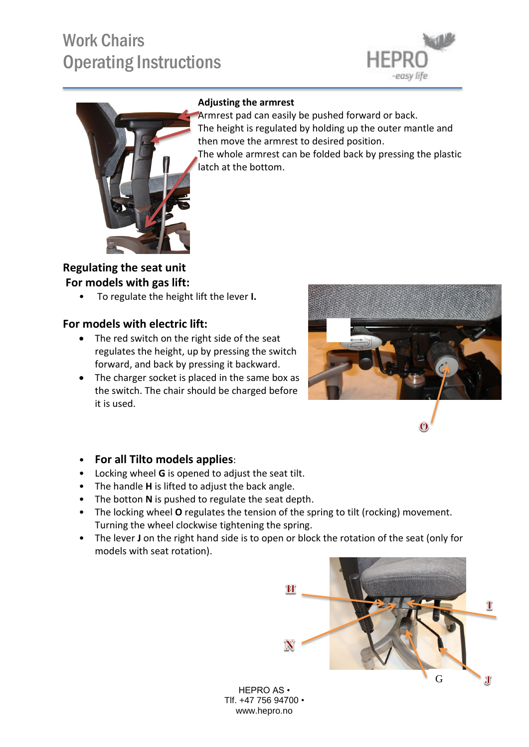# Work Chairs Operating Instructions





#### **Adjusting the armrest**

Armrest pad can easily be pushed forward or back. The height is regulated by holding up the outer mantle and then move the armrest to desired position. The whole armrest can be folded back by pressing the plastic latch at the bottom.

**Regulating the seat unit For models with gas lift:**

• To regulate the height lift the lever **I.**

#### **For models with electric lift:**

- The red switch on the right side of the seat regulates the height, up by pressing the switch forward, and back by pressing it backward.
- The charger socket is placed in the same box as the switch. The chair should be charged before it is used.



#### • **For all Tilto models applies**:

- Locking wheel **G** is opened to adjust the seat tilt.
- The handle **H** is lifted to adjust the back angle.
- The botton **N** is pushed to regulate the seat depth.
- The locking wheel **O** regulates the tension of the spring to tilt (rocking) movement. Turning the wheel clockwise tightening the spring.
- The lever **J** on the right hand side is to open or block the rotation of the seat (only for models with seat rotation).



HEPRO AS • Tlf. +47 756 94700 • www.hepro.no